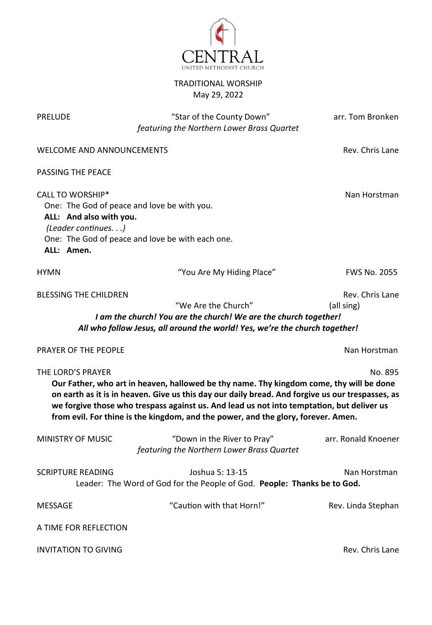

# TRADITIONAL WORSHIP May 29, 2022

| <b>PRELUDE</b>                                                                          | "Star of the County Down"<br>featuring the Northern Lower Brass Quartet                                                                                                                                                                                                                                                                                                       | arr. Tom Bronken              |
|-----------------------------------------------------------------------------------------|-------------------------------------------------------------------------------------------------------------------------------------------------------------------------------------------------------------------------------------------------------------------------------------------------------------------------------------------------------------------------------|-------------------------------|
| <b>WELCOME AND ANNOUNCEMENTS</b>                                                        |                                                                                                                                                                                                                                                                                                                                                                               | Rev. Chris Lane               |
| PASSING THE PEACE                                                                       |                                                                                                                                                                                                                                                                                                                                                                               |                               |
| <b>CALL TO WORSHIP*</b><br>ALL: And also with you.<br>(Leader continues.)<br>ALL: Amen. | One: The God of peace and love be with you.<br>One: The God of peace and love be with each one.                                                                                                                                                                                                                                                                               | Nan Horstman                  |
| <b>HYMN</b>                                                                             | "You Are My Hiding Place"                                                                                                                                                                                                                                                                                                                                                     | <b>FWS No. 2055</b>           |
| <b>BLESSING THE CHILDREN</b>                                                            | "We Are the Church"<br>I am the church! You are the church! We are the church together!<br>All who follow Jesus, all around the world! Yes, we're the church together!                                                                                                                                                                                                        | Rev. Chris Lane<br>(all sing) |
| PRAYER OF THE PEOPLE                                                                    |                                                                                                                                                                                                                                                                                                                                                                               | Nan Horstman                  |
| THE LORD'S PRAYER                                                                       | Our Father, who art in heaven, hallowed be thy name. Thy kingdom come, thy will be done<br>on earth as it is in heaven. Give us this day our daily bread. And forgive us our trespasses, as<br>we forgive those who trespass against us. And lead us not into temptation, but deliver us<br>from evil. For thine is the kingdom, and the power, and the glory, forever. Amen. | No. 895                       |
| MINISTRY OF MUSIC                                                                       | "Down in the River to Pray"<br>featuring the Northern Lower Brass Quartet                                                                                                                                                                                                                                                                                                     | arr. Ronald Knoener           |
| <b>SCRIPTURE READING</b>                                                                | Joshua 5: 13-15<br>Leader: The Word of God for the People of God. People: Thanks be to God.                                                                                                                                                                                                                                                                                   | Nan Horstman                  |
| <b>MESSAGE</b>                                                                          | "Caution with that Horn!"                                                                                                                                                                                                                                                                                                                                                     | Rev. Linda Stephan            |
| A TIME FOR REFLECTION                                                                   |                                                                                                                                                                                                                                                                                                                                                                               |                               |
|                                                                                         |                                                                                                                                                                                                                                                                                                                                                                               |                               |